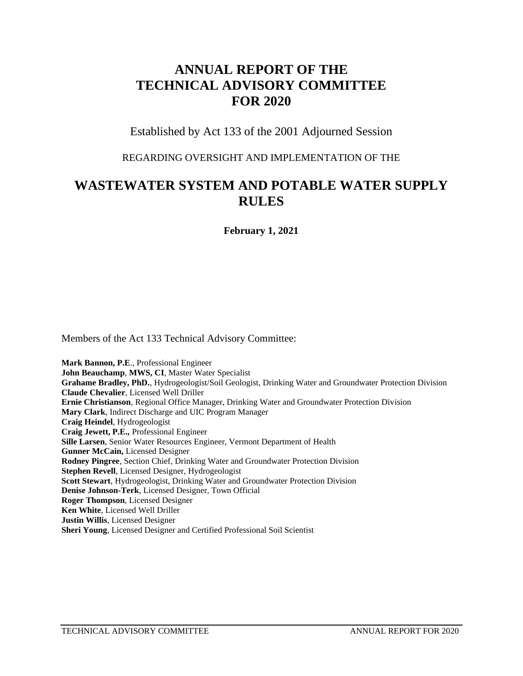# **ANNUAL REPORT OF THE TECHNICAL ADVISORY COMMITTEE FOR 2020**

Established by Act 133 of the 2001 Adjourned Session

#### REGARDING OVERSIGHT AND IMPLEMENTATION OF THE

# **WASTEWATER SYSTEM AND POTABLE WATER SUPPLY RULES**

**February 1, 2021**

Members of the Act 133 Technical Advisory Committee:

**Mark Bannon, P.E**., Professional Engineer **John Beauchamp**, **MWS, CI**, Master Water Specialist **Grahame Bradley, PhD.**, Hydrogeologist/Soil Geologist, Drinking Water and Groundwater Protection Division **Claude Chevalier**, Licensed Well Driller **Ernie Christianson**, Regional Office Manager, Drinking Water and Groundwater Protection Division **Mary Clark**, Indirect Discharge and UIC Program Manager **Craig Heindel**, Hydrogeologist **Craig Jewett, P.E.,** Professional Engineer **Sille Larsen**, Senior Water Resources Engineer, Vermont Department of Health **Gunner McCain,** Licensed Designer **Rodney Pingree**, Section Chief, Drinking Water and Groundwater Protection Division **Stephen Revell**, Licensed Designer, Hydrogeologist **Scott Stewart**, Hydrogeologist, Drinking Water and Groundwater Protection Division **Denise Johnson-Terk**, Licensed Designer, Town Official **Roger Thompson**, Licensed Designer **Ken White**, Licensed Well Driller **Justin Willis**, Licensed Designer **Sheri Young**, Licensed Designer and Certified Professional Soil Scientist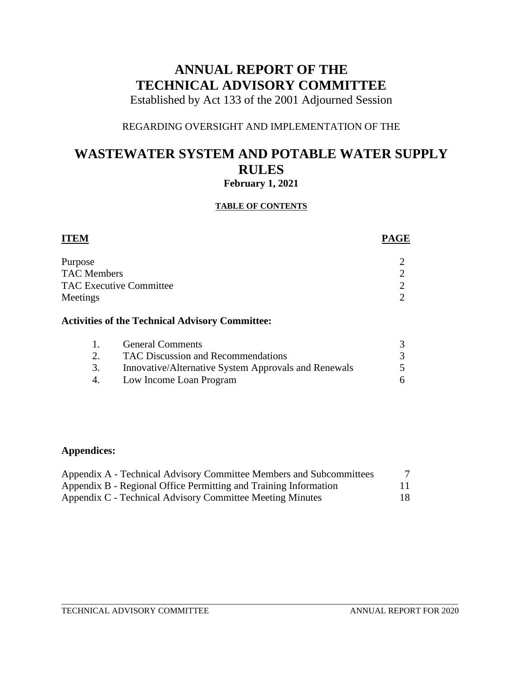# **ANNUAL REPORT OF THE TECHNICAL ADVISORY COMMITTEE**

Established by Act 133 of the 2001 Adjourned Session

### REGARDING OVERSIGHT AND IMPLEMENTATION OF THE

## **WASTEWATER SYSTEM AND POTABLE WATER SUPPLY RULES February 1, 2021**

# **TABLE OF CONTENTS**

| <b>ITEM</b>                                     | <b>PAGE</b> |
|-------------------------------------------------|-------------|
| Purpose                                         |             |
| <b>TAC Members</b>                              |             |
| <b>TAC Executive Committee</b>                  | ◠           |
| Meetings                                        | ി           |
| Activities of the Technical Advisory Committee. |             |

# **Activities of the Technical Advisory Committee:**

| $\mathbf{L}$ | <b>General Comments</b>                              |  |
|--------------|------------------------------------------------------|--|
| 2.           | TAC Discussion and Recommendations                   |  |
| 3.           | Innovative/Alternative System Approvals and Renewals |  |
| 4.           | Low Income Loan Program                              |  |

### **Appendices:**

| Appendix A - Technical Advisory Committee Members and Subcommittees |    |
|---------------------------------------------------------------------|----|
| Appendix B - Regional Office Permitting and Training Information    | 11 |
| Appendix C - Technical Advisory Committee Meeting Minutes           | 18 |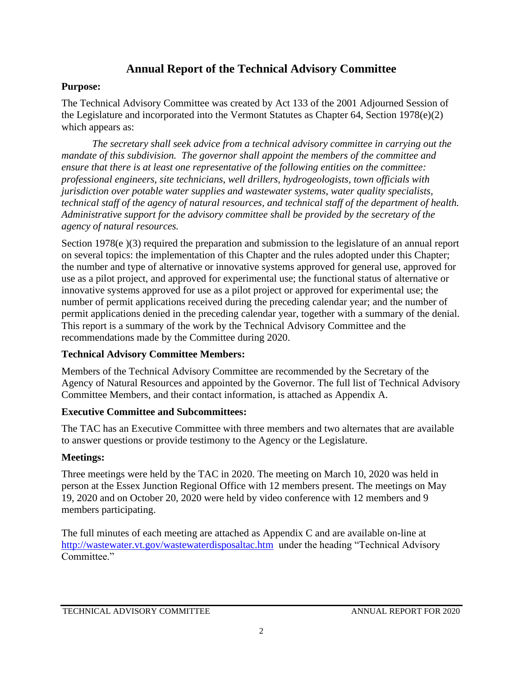## **Annual Report of the Technical Advisory Committee**

### **Purpose:**

The Technical Advisory Committee was created by Act 133 of the 2001 Adjourned Session of the Legislature and incorporated into the Vermont Statutes as Chapter 64, Section 1978(e)(2) which appears as:

*The secretary shall seek advice from a technical advisory committee in carrying out the mandate of this subdivision. The governor shall appoint the members of the committee and ensure that there is at least one representative of the following entities on the committee: professional engineers, site technicians, well drillers, hydrogeologists, town officials with jurisdiction over potable water supplies and wastewater systems, water quality specialists, technical staff of the agency of natural resources, and technical staff of the department of health. Administrative support for the advisory committee shall be provided by the secretary of the agency of natural resources.*

Section 1978(e)(3) required the preparation and submission to the legislature of an annual report on several topics: the implementation of this Chapter and the rules adopted under this Chapter; the number and type of alternative or innovative systems approved for general use, approved for use as a pilot project, and approved for experimental use; the functional status of alternative or innovative systems approved for use as a pilot project or approved for experimental use; the number of permit applications received during the preceding calendar year; and the number of permit applications denied in the preceding calendar year, together with a summary of the denial. This report is a summary of the work by the Technical Advisory Committee and the recommendations made by the Committee during 2020.

### **Technical Advisory Committee Members:**

Members of the Technical Advisory Committee are recommended by the Secretary of the Agency of Natural Resources and appointed by the Governor. The full list of Technical Advisory Committee Members, and their contact information, is attached as Appendix A.

### **Executive Committee and Subcommittees:**

The TAC has an Executive Committee with three members and two alternates that are available to answer questions or provide testimony to the Agency or the Legislature.

## **Meetings:**

Three meetings were held by the TAC in 2020. The meeting on March 10, 2020 was held in person at the Essex Junction Regional Office with 12 members present. The meetings on May 19, 2020 and on October 20, 2020 were held by video conference with 12 members and 9 members participating.

The full minutes of each meeting are attached as Appendix C and are available on-line at <http://wastewater.vt.gov/wastewaterdisposaltac.htm> under the heading "Technical Advisory Committee."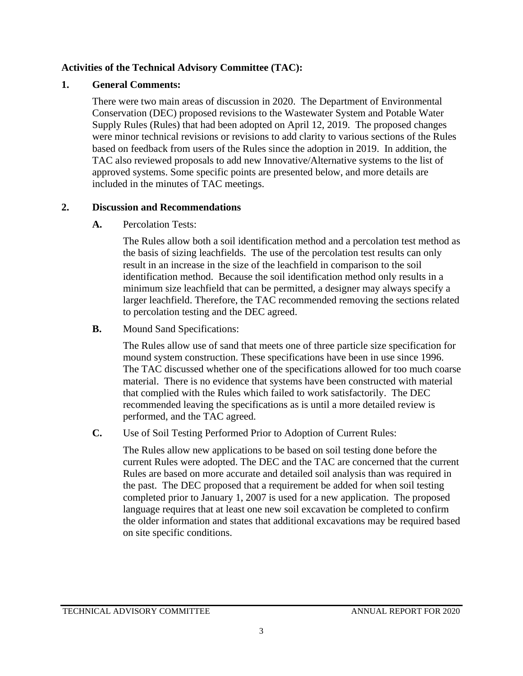#### **Activities of the Technical Advisory Committee (TAC):**

#### **1. General Comments:**

There were two main areas of discussion in 2020. The Department of Environmental Conservation (DEC) proposed revisions to the Wastewater System and Potable Water Supply Rules (Rules) that had been adopted on April 12, 2019. The proposed changes were minor technical revisions or revisions to add clarity to various sections of the Rules based on feedback from users of the Rules since the adoption in 2019. In addition, the TAC also reviewed proposals to add new Innovative/Alternative systems to the list of approved systems. Some specific points are presented below, and more details are included in the minutes of TAC meetings.

#### **2. Discussion and Recommendations**

**A.** Percolation Tests:

The Rules allow both a soil identification method and a percolation test method as the basis of sizing leachfields. The use of the percolation test results can only result in an increase in the size of the leachfield in comparison to the soil identification method. Because the soil identification method only results in a minimum size leachfield that can be permitted, a designer may always specify a larger leachfield. Therefore, the TAC recommended removing the sections related to percolation testing and the DEC agreed.

**B.** Mound Sand Specifications:

The Rules allow use of sand that meets one of three particle size specification for mound system construction. These specifications have been in use since 1996. The TAC discussed whether one of the specifications allowed for too much coarse material. There is no evidence that systems have been constructed with material that complied with the Rules which failed to work satisfactorily. The DEC recommended leaving the specifications as is until a more detailed review is performed, and the TAC agreed.

**C.** Use of Soil Testing Performed Prior to Adoption of Current Rules:

The Rules allow new applications to be based on soil testing done before the current Rules were adopted. The DEC and the TAC are concerned that the current Rules are based on more accurate and detailed soil analysis than was required in the past. The DEC proposed that a requirement be added for when soil testing completed prior to January 1, 2007 is used for a new application. The proposed language requires that at least one new soil excavation be completed to confirm the older information and states that additional excavations may be required based on site specific conditions.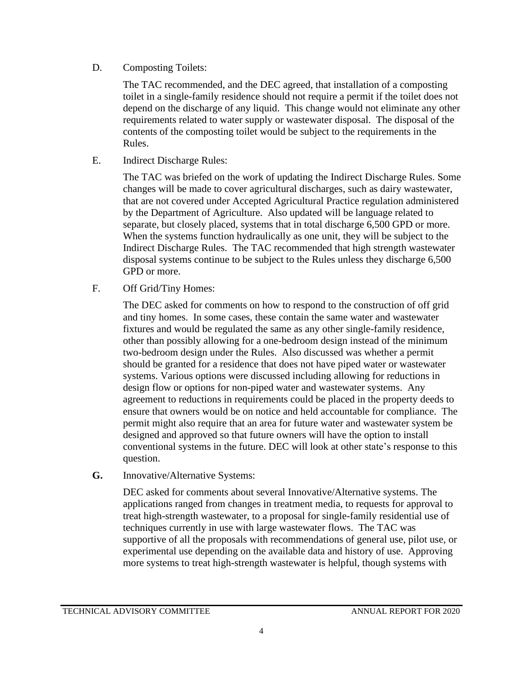D. Composting Toilets:

The TAC recommended, and the DEC agreed, that installation of a composting toilet in a single-family residence should not require a permit if the toilet does not depend on the discharge of any liquid. This change would not eliminate any other requirements related to water supply or wastewater disposal. The disposal of the contents of the composting toilet would be subject to the requirements in the Rules.

E. Indirect Discharge Rules:

The TAC was briefed on the work of updating the Indirect Discharge Rules. Some changes will be made to cover agricultural discharges, such as dairy wastewater, that are not covered under Accepted Agricultural Practice regulation administered by the Department of Agriculture. Also updated will be language related to separate, but closely placed, systems that in total discharge 6,500 GPD or more. When the systems function hydraulically as one unit, they will be subject to the Indirect Discharge Rules. The TAC recommended that high strength wastewater disposal systems continue to be subject to the Rules unless they discharge 6,500 GPD or more.

F. Off Grid/Tiny Homes:

The DEC asked for comments on how to respond to the construction of off grid and tiny homes. In some cases, these contain the same water and wastewater fixtures and would be regulated the same as any other single-family residence, other than possibly allowing for a one-bedroom design instead of the minimum two-bedroom design under the Rules. Also discussed was whether a permit should be granted for a residence that does not have piped water or wastewater systems. Various options were discussed including allowing for reductions in design flow or options for non-piped water and wastewater systems. Any agreement to reductions in requirements could be placed in the property deeds to ensure that owners would be on notice and held accountable for compliance. The permit might also require that an area for future water and wastewater system be designed and approved so that future owners will have the option to install conventional systems in the future. DEC will look at other state's response to this question.

**G.** Innovative/Alternative Systems:

DEC asked for comments about several Innovative/Alternative systems. The applications ranged from changes in treatment media, to requests for approval to treat high-strength wastewater, to a proposal for single-family residential use of techniques currently in use with large wastewater flows. The TAC was supportive of all the proposals with recommendations of general use, pilot use, or experimental use depending on the available data and history of use. Approving more systems to treat high-strength wastewater is helpful, though systems with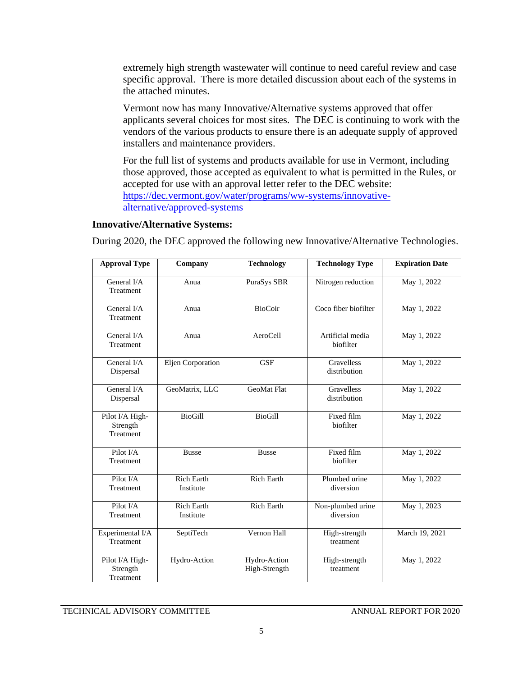extremely high strength wastewater will continue to need careful review and case specific approval. There is more detailed discussion about each of the systems in the attached minutes.

Vermont now has many Innovative/Alternative systems approved that offer applicants several choices for most sites. The DEC is continuing to work with the vendors of the various products to ensure there is an adequate supply of approved installers and maintenance providers.

For the full list of systems and products available for use in Vermont, including those approved, those accepted as equivalent to what is permitted in the Rules, or accepted for use with an approval letter refer to the DEC website: [https://dec.vermont.gov/water/programs/ww-systems/innovative](https://dec.vermont.gov/water/programs/ww-systems/innovative-alternative/approved-systems)[alternative/approved-systems](https://dec.vermont.gov/water/programs/ww-systems/innovative-alternative/approved-systems)

#### **Innovative/Alternative Systems:**

During 2020, the DEC approved the following new Innovative/Alternative Technologies.

| <b>Approval Type</b>                            | Company                        | <b>Technology</b>             | <b>Technology Type</b>            | <b>Expiration Date</b> |
|-------------------------------------------------|--------------------------------|-------------------------------|-----------------------------------|------------------------|
| General I/A<br>Treatment                        | Anua                           | PuraSys SBR                   | Nitrogen reduction                | May 1, 2022            |
| General I/A<br>Treatment                        | Anua                           | <b>BioCoir</b>                | Coco fiber biofilter              | May 1, 2022            |
| General I/A<br>Treatment                        | Anua                           | AeroCell                      | Artificial media<br>biofilter     | May 1, 2022            |
| General I/A<br>Dispersal                        | Eljen Corporation              | <b>GSF</b>                    | Gravelless<br>distribution        | May 1, 2022            |
| General I/A<br>Dispersal                        | GeoMatrix, LLC                 | <b>GeoMat Flat</b>            | <b>Gravelless</b><br>distribution | May 1, 2022            |
| Pilot I/A High-<br>Strength<br><b>Treatment</b> | <b>BioGill</b>                 | <b>BioGill</b>                | Fixed film<br>biofilter           | May 1, 2022            |
| Pilot I/A<br><b>Treatment</b>                   | <b>Busse</b>                   | <b>Busse</b>                  | Fixed film<br>biofilter           | May 1, 2022            |
| Pilot I/A<br>Treatment                          | <b>Rich Earth</b><br>Institute | <b>Rich Earth</b>             | Plumbed urine<br>diversion        | May 1, 2022            |
| Pilot I/A<br>Treatment                          | <b>Rich Earth</b><br>Institute | <b>Rich Earth</b>             | Non-plumbed urine<br>diversion    | May 1, 2023            |
| Experimental I/A<br><b>Treatment</b>            | SeptiTech                      | Vernon Hall                   | High-strength<br>treatment        | March 19, 2021         |
| Pilot I/A High-<br>Strength<br>Treatment        | Hydro-Action                   | Hydro-Action<br>High-Strength | High-strength<br>treatment        | May 1, 2022            |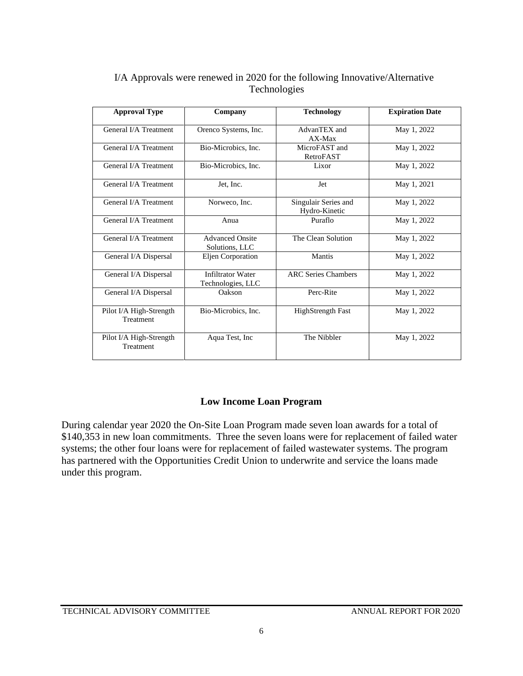| <b>Approval Type</b>                 | Company                                       | <b>Technology</b>                     | <b>Expiration Date</b> |
|--------------------------------------|-----------------------------------------------|---------------------------------------|------------------------|
| General I/A Treatment                | Orenco Systems, Inc.                          | AdvanTEX and<br>$AX-Max$              | May 1, 2022            |
| General I/A Treatment                | Bio-Microbics, Inc.                           | MicroFAST and<br>RetroFAST            | May 1, 2022            |
| General I/A Treatment                | Bio-Microbics, Inc.                           | Lixor                                 | May 1, 2022            |
| General I/A Treatment                | Jet, Inc.                                     | Jet                                   | May 1, 2021            |
| General I/A Treatment                | Norweco, Inc.                                 | Singulair Series and<br>Hydro-Kinetic | May 1, 2022            |
| General I/A Treatment                | Anua                                          | Puraflo                               | May 1, 2022            |
| General I/A Treatment                | <b>Advanced Onsite</b><br>Solutions, LLC      | The Clean Solution                    | May 1, 2022            |
| General I/A Dispersal                | Eljen Corporation                             | Mantis                                | May 1, 2022            |
| General I/A Dispersal                | <b>Infiltrator Water</b><br>Technologies, LLC | <b>ARC Series Chambers</b>            | May 1, 2022            |
| General I/A Dispersal                | Oakson                                        | Perc-Rite                             | May 1, 2022            |
| Pilot I/A High-Strength<br>Treatment | Bio-Microbics, Inc.                           | <b>HighStrength Fast</b>              | May 1, 2022            |
| Pilot I/A High-Strength<br>Treatment | Aqua Test, Inc.                               | The Nibbler                           | May 1, 2022            |

#### I/A Approvals were renewed in 2020 for the following Innovative/Alternative Technologies

## **Low Income Loan Program**

During calendar year 2020 the On-Site Loan Program made seven loan awards for a total of \$140,353 in new loan commitments. Three the seven loans were for replacement of failed water systems; the other four loans were for replacement of failed wastewater systems. The program has partnered with the Opportunities Credit Union to underwrite and service the loans made under this program.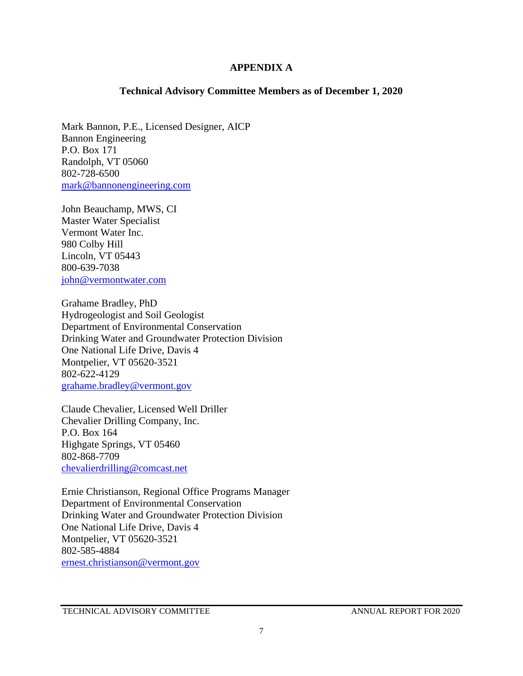#### **APPENDIX A**

#### **Technical Advisory Committee Members as of December 1, 2020**

Mark Bannon, P.E., Licensed Designer, AICP Bannon Engineering P.O. Box 171 Randolph, VT 05060 802-728-6500 [mark@bannonengineering.com](mailto:mark@bannonengineering.com)

John Beauchamp, MWS, CI Master Water Specialist Vermont Water Inc. 980 Colby Hill Lincoln, VT 05443 800-639-7038 [john@vermontwater.com](mailto:john@vermontwater.com)

Grahame Bradley, PhD Hydrogeologist and Soil Geologist Department of Environmental Conservation Drinking Water and Groundwater Protection Division One National Life Drive, Davis 4 Montpelier, VT 05620-3521 802-622-4129 [grahame.bradley@vermont.gov](mailto:grahame.bradley@vermont.gov)

Claude Chevalier, Licensed Well Driller Chevalier Drilling Company, Inc. P.O. Box 164 Highgate Springs, VT 05460 802-868-7709 [chevalierdrilling@comcast.net](mailto:chevalierdrilling@comcast.net)

Ernie Christianson, Regional Office Programs Manager Department of Environmental Conservation Drinking Water and Groundwater Protection Division One National Life Drive, Davis 4 Montpelier, VT 05620-3521 802-585-4884 [ernest.christianson@vermont.gov](mailto:ernest.christianson@vermont.gov)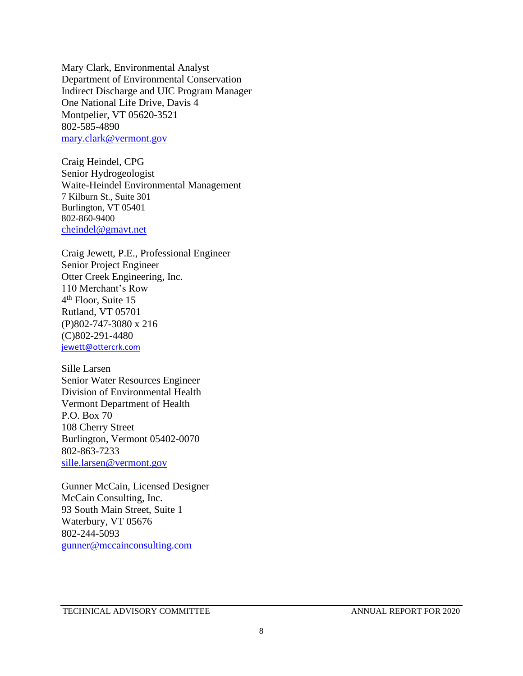Mary Clark, Environmental Analyst Department of Environmental Conservation Indirect Discharge and UIC Program Manager One National Life Drive, Davis 4 Montpelier, VT 05620-3521 802-585-4890 [mary.clark@vermont.gov](mailto:mary.clark@vermont.gov)

Craig Heindel, CPG Senior Hydrogeologist Waite-Heindel Environmental Management 7 Kilburn St., Suite 301 Burlington, VT 05401 802-860-9400 [cheindel@gmavt.net](mailto:cheindel@gmavt.net)

Craig Jewett, P.E., Professional Engineer Senior Project Engineer Otter Creek Engineering, Inc. 110 Merchant's Row 4<sup>th</sup> Floor, Suite 15 Rutland, VT 05701 (P)802-747-3080 x 216 (C)802-291-4480 [jewett@ottercrk.com](mailto:jewett@ottercrk.com)

Sille Larsen Senior Water Resources Engineer Division of Environmental Health Vermont Department of Health P.O. Box 70 108 Cherry Street Burlington, Vermont 05402-0070 802-863-7233 [sille.larsen@vermont.gov](mailto:sille.larsen@vermont.gov)

Gunner McCain, Licensed Designer McCain Consulting, Inc. 93 South Main Street, Suite 1 Waterbury, VT 05676 802-244-5093 [gunner@mccainconsulting.com](mailto:gunner@mccainconsulting.com)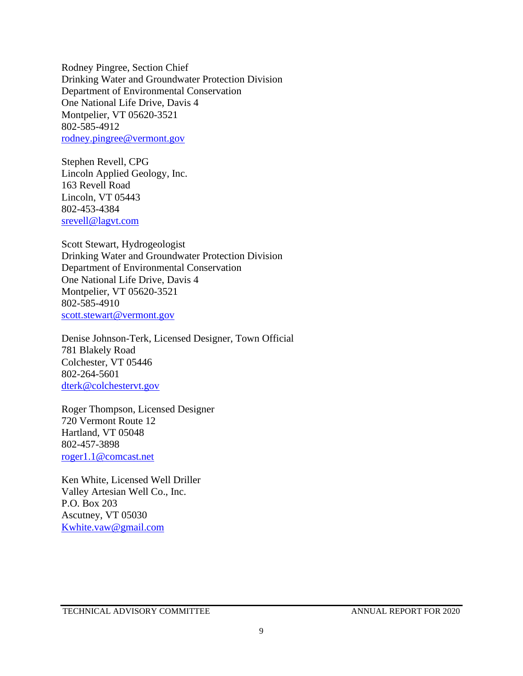Rodney Pingree, Section Chief Drinking Water and Groundwater Protection Division Department of Environmental Conservation One National Life Drive, Davis 4 Montpelier, VT 05620-3521 802-585-4912 [rodney.pingree@vermont.gov](mailto:rodney.pingree@vermont.gov)

Stephen Revell, CPG Lincoln Applied Geology, Inc. 163 Revell Road Lincoln, VT 05443 802-453-4384 [srevell@lagvt.com](mailto:srevell@lagvt.com)

Scott Stewart, Hydrogeologist Drinking Water and Groundwater Protection Division Department of Environmental Conservation One National Life Drive, Davis 4 Montpelier, VT 05620-3521 802-585-4910 [scott.stewart@v](mailto:scott.stewart@)ermont.gov

Denise Johnson-Terk, Licensed Designer, Town Official 781 Blakely Road Colchester, VT 05446 802-264-5601 [dterk@colchestervt.gov](mailto:dterk@colchestervt.gov)

Roger Thompson, Licensed Designer 720 Vermont Route 12 Hartland, VT 05048 802-457-3898 [roger1.1@comcast.net](mailto:roger1.1@comcast.net)

Ken White, Licensed Well Driller Valley Artesian Well Co., Inc. P.O. Box 203 Ascutney, VT 05030 [Kwhite.vaw@gmail.com](mailto:Kwhite.vaw@gmail.com)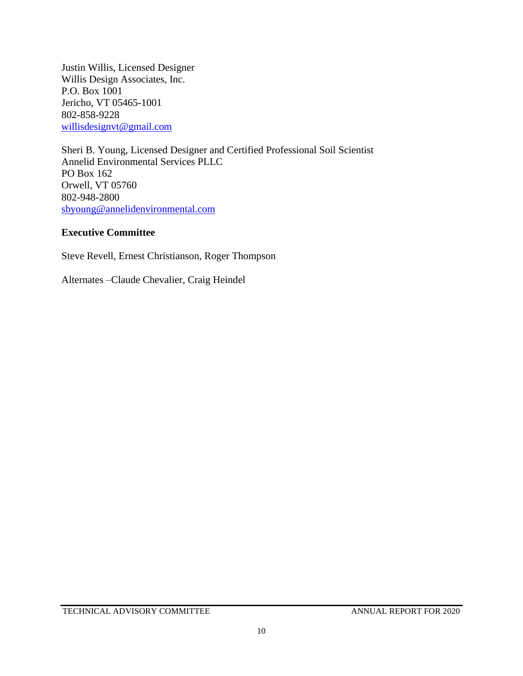Justin Willis, Licensed Designer Willis Design Associates, Inc. P.O. Box 1001 Jericho, VT 05465-1001 802-858-9228 [willisdesignvt@gmail.c](mailto:willisdesignvt@gmail.)om

Sheri B. Young, Licensed Designer and Certified Professional Soil Scientist Annelid Environmental Services PLLC PO Box 162 Orwell, VT 05760 802-948-2800 [sbyoung@annelidenvironmental.com](mailto:sbyoung@annelidenvironmental.com)

#### **Executive Committee**

Steve Revell, Ernest Christianson, Roger Thompson

Alternates –Claude Chevalier, Craig Heindel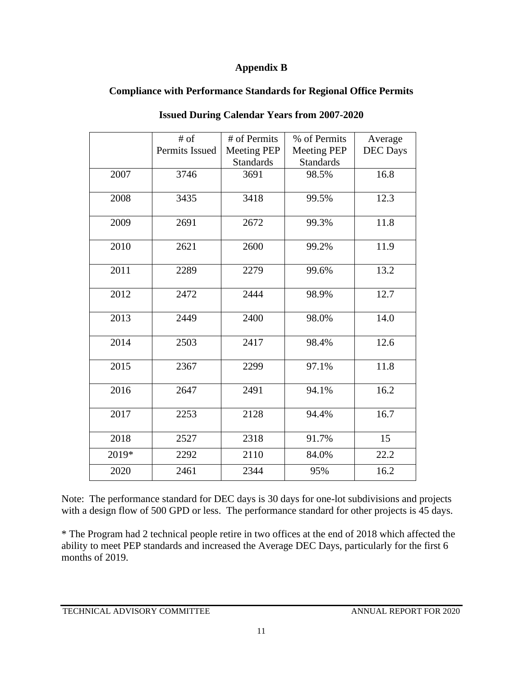#### **Appendix B**

### **Compliance with Performance Standards for Regional Office Permits**

|       | $#$ of<br>Permits Issued | # of Permits<br><b>Meeting PEP</b> | % of Permits<br><b>Meeting PEP</b> | Average<br><b>DEC</b> Days |
|-------|--------------------------|------------------------------------|------------------------------------|----------------------------|
|       |                          | <b>Standards</b>                   | <b>Standards</b>                   |                            |
| 2007  | 3746                     | 3691                               | 98.5%                              | 16.8                       |
| 2008  | 3435                     | 3418                               | 99.5%                              | 12.3                       |
| 2009  | 2691                     | 2672                               | 99.3%                              | 11.8                       |
| 2010  | 2621                     | 2600                               | 99.2%                              | 11.9                       |
| 2011  | 2289                     | 2279                               | 99.6%                              | 13.2                       |
| 2012  | 2472                     | 2444                               | 98.9%                              | 12.7                       |
| 2013  | 2449                     | 2400                               | 98.0%                              | 14.0                       |
| 2014  | 2503                     | 2417                               | 98.4%                              | 12.6                       |
| 2015  | 2367                     | 2299                               | 97.1%                              | 11.8                       |
| 2016  | 2647                     | 2491                               | 94.1%                              | 16.2                       |
| 2017  | 2253                     | 2128                               | 94.4%                              | 16.7                       |
| 2018  | 2527                     | 2318                               | 91.7%                              | 15                         |
| 2019* | 2292                     | 2110                               | 84.0%                              | 22.2                       |
| 2020  | 2461                     | 2344                               | 95%                                | 16.2                       |

**Issued During Calendar Years from 2007-2020**

Note: The performance standard for DEC days is 30 days for one-lot subdivisions and projects with a design flow of 500 GPD or less. The performance standard for other projects is 45 days.

\* The Program had 2 technical people retire in two offices at the end of 2018 which affected the ability to meet PEP standards and increased the Average DEC Days, particularly for the first 6 months of 2019.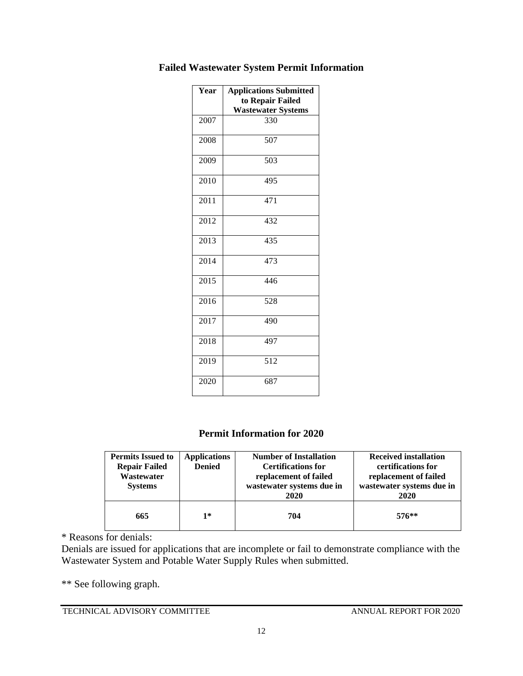| Year | <b>Applications Submitted</b><br>to Repair Failed<br><b>Wastewater Systems</b> |
|------|--------------------------------------------------------------------------------|
| 2007 | 330                                                                            |
| 2008 | 507                                                                            |
| 2009 | 503                                                                            |
| 2010 | 495                                                                            |
| 2011 | 471                                                                            |
| 2012 | 432                                                                            |
| 2013 | 435                                                                            |
| 2014 | 473                                                                            |
| 2015 | 446                                                                            |
| 2016 | 528                                                                            |
| 2017 | 490                                                                            |
| 2018 | 497                                                                            |
| 2019 | 512                                                                            |
| 2020 | 687                                                                            |

### **Failed Wastewater System Permit Information**

#### **Permit Information for 2020**

| <b>Permits Issued to</b><br><b>Repair Failed</b><br>Wastewater<br><b>Systems</b> | <b>Applications</b><br><b>Denied</b> | <b>Number of Installation</b><br><b>Certifications for</b><br>replacement of failed<br>wastewater systems due in<br>2020 | <b>Received installation</b><br>certifications for<br>replacement of failed<br>wastewater systems due in<br>2020 |
|----------------------------------------------------------------------------------|--------------------------------------|--------------------------------------------------------------------------------------------------------------------------|------------------------------------------------------------------------------------------------------------------|
| 665                                                                              | $1*$                                 | 704                                                                                                                      | $576**$                                                                                                          |

\* Reasons for denials:

Denials are issued for applications that are incomplete or fail to demonstrate compliance with the Wastewater System and Potable Water Supply Rules when submitted.

\*\* See following graph.

TECHNICAL ADVISORY COMMITTEE ANNUAL REPORT FOR 2020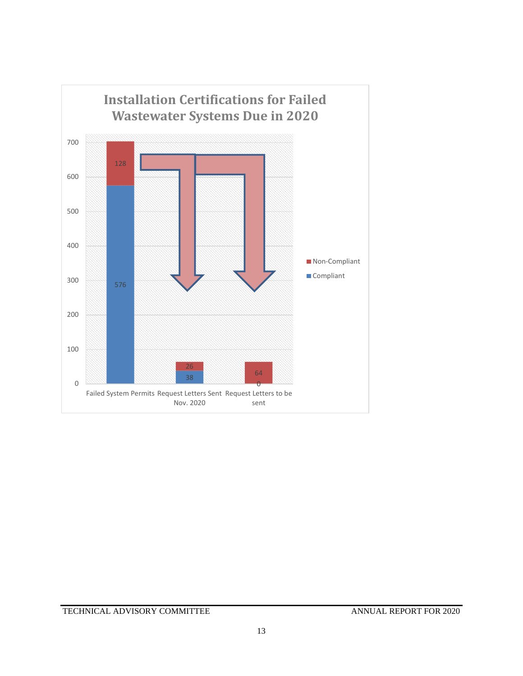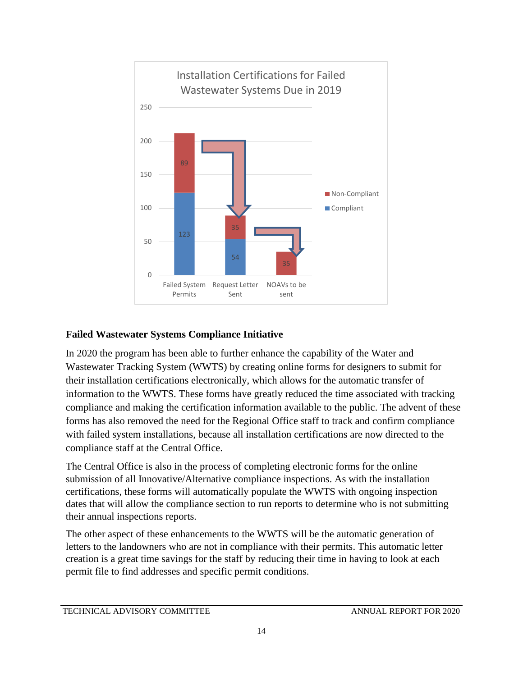

### **Failed Wastewater Systems Compliance Initiative**

In 2020 the program has been able to further enhance the capability of the Water and Wastewater Tracking System (WWTS) by creating online forms for designers to submit for their installation certifications electronically, which allows for the automatic transfer of information to the WWTS. These forms have greatly reduced the time associated with tracking compliance and making the certification information available to the public. The advent of these forms has also removed the need for the Regional Office staff to track and confirm compliance with failed system installations, because all installation certifications are now directed to the compliance staff at the Central Office.

The Central Office is also in the process of completing electronic forms for the online submission of all Innovative/Alternative compliance inspections. As with the installation certifications, these forms will automatically populate the WWTS with ongoing inspection dates that will allow the compliance section to run reports to determine who is not submitting their annual inspections reports.

The other aspect of these enhancements to the WWTS will be the automatic generation of letters to the landowners who are not in compliance with their permits. This automatic letter creation is a great time savings for the staff by reducing their time in having to look at each permit file to find addresses and specific permit conditions.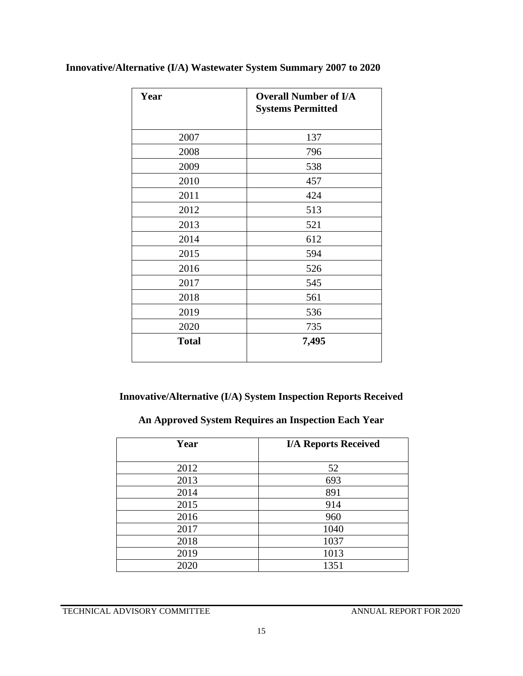| Year         | <b>Overall Number of I/A</b><br><b>Systems Permitted</b> |
|--------------|----------------------------------------------------------|
| 2007         | 137                                                      |
| 2008         | 796                                                      |
| 2009         | 538                                                      |
| 2010         | 457                                                      |
| 2011         | 424                                                      |
| 2012         | 513                                                      |
| 2013         | 521                                                      |
| 2014         | 612                                                      |
| 2015         | 594                                                      |
| 2016         | 526                                                      |
| 2017         | 545                                                      |
| 2018         | 561                                                      |
| 2019         | 536                                                      |
| 2020         | 735                                                      |
| <b>Total</b> | 7,495                                                    |

## **Innovative/Alternative (I/A) Wastewater System Summary 2007 to 2020**

## **Innovative/Alternative (I/A) System Inspection Reports Received**

## **An Approved System Requires an Inspection Each Year**

| Year | <b>I/A Reports Received</b> |
|------|-----------------------------|
| 2012 | 52                          |
| 2013 | 693                         |
| 2014 | 891                         |
| 2015 | 914                         |
| 2016 | 960                         |
| 2017 | 1040                        |
| 2018 | 1037                        |
| 2019 | 1013                        |
| 2020 | 1351                        |

TECHNICAL ADVISORY COMMITTEE ANNUAL REPORT FOR 2020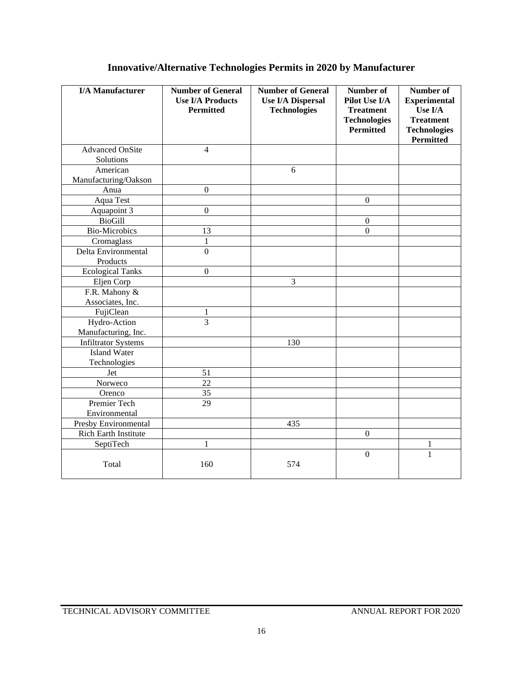## **Innovative/Alternative Technologies Permits in 2020 by Manufacturer**

| <b>I/A Manufacturer</b>             | <b>Number of General</b><br><b>Use I/A Products</b><br><b>Permitted</b> | <b>Number of General</b><br><b>Use I/A Dispersal</b><br><b>Technologies</b> | Number of<br>Pilot Use I/A<br><b>Treatment</b><br><b>Technologies</b><br>Permitted | Number of<br><b>Experimental</b><br>Use I/A<br><b>Treatment</b><br><b>Technologies</b><br><b>Permitted</b> |
|-------------------------------------|-------------------------------------------------------------------------|-----------------------------------------------------------------------------|------------------------------------------------------------------------------------|------------------------------------------------------------------------------------------------------------|
| <b>Advanced OnSite</b><br>Solutions | $\overline{4}$                                                          |                                                                             |                                                                                    |                                                                                                            |
| American<br>Manufacturing/Oakson    |                                                                         | 6                                                                           |                                                                                    |                                                                                                            |
| Anua                                | $\theta$                                                                |                                                                             |                                                                                    |                                                                                                            |
| Aqua Test                           |                                                                         |                                                                             | $\boldsymbol{0}$                                                                   |                                                                                                            |
| Aquapoint 3                         | $\boldsymbol{0}$                                                        |                                                                             |                                                                                    |                                                                                                            |
| <b>BioGill</b>                      |                                                                         |                                                                             | $\boldsymbol{0}$                                                                   |                                                                                                            |
| <b>Bio-Microbics</b>                | 13                                                                      |                                                                             | $\mathbf{0}$                                                                       |                                                                                                            |
| Cromaglass                          | $\mathbf{1}$                                                            |                                                                             |                                                                                    |                                                                                                            |
| Delta Environmental                 | $\overline{0}$                                                          |                                                                             |                                                                                    |                                                                                                            |
| Products                            |                                                                         |                                                                             |                                                                                    |                                                                                                            |
| <b>Ecological Tanks</b>             | $\boldsymbol{0}$                                                        |                                                                             |                                                                                    |                                                                                                            |
| Eljen Corp                          |                                                                         | 3                                                                           |                                                                                    |                                                                                                            |
| F.R. Mahony &                       |                                                                         |                                                                             |                                                                                    |                                                                                                            |
| Associates, Inc.                    |                                                                         |                                                                             |                                                                                    |                                                                                                            |
| FujiClean                           | 1                                                                       |                                                                             |                                                                                    |                                                                                                            |
| Hydro-Action                        | $\overline{3}$                                                          |                                                                             |                                                                                    |                                                                                                            |
| Manufacturing, Inc.                 |                                                                         |                                                                             |                                                                                    |                                                                                                            |
| <b>Infiltrator Systems</b>          |                                                                         | 130                                                                         |                                                                                    |                                                                                                            |
| <b>Island Water</b>                 |                                                                         |                                                                             |                                                                                    |                                                                                                            |
| Technologies                        |                                                                         |                                                                             |                                                                                    |                                                                                                            |
| Jet                                 | 51                                                                      |                                                                             |                                                                                    |                                                                                                            |
| Norweco                             | $\overline{22}$                                                         |                                                                             |                                                                                    |                                                                                                            |
| Orenco                              | 35                                                                      |                                                                             |                                                                                    |                                                                                                            |
| Premier Tech                        | 29                                                                      |                                                                             |                                                                                    |                                                                                                            |
| Environmental                       |                                                                         |                                                                             |                                                                                    |                                                                                                            |
| Presby Environmental                |                                                                         | 435                                                                         |                                                                                    |                                                                                                            |
| <b>Rich Earth Institute</b>         |                                                                         |                                                                             | $\mathbf{0}$                                                                       |                                                                                                            |
| SeptiTech                           | $\mathbf{1}$                                                            |                                                                             |                                                                                    | 1                                                                                                          |
| Total                               | 160                                                                     | 574                                                                         | $\mathbf{0}$                                                                       | $\mathbf{1}$                                                                                               |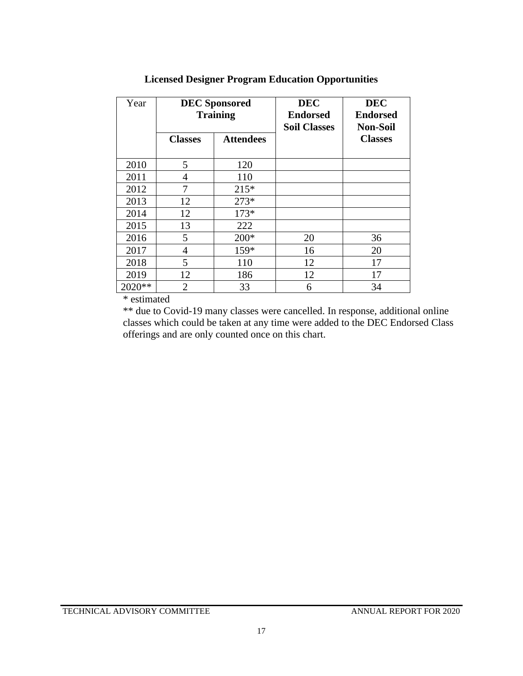| Year   | <b>DEC</b> Sponsored<br><b>Training</b> |                  | <b>DEC</b><br><b>Endorsed</b><br><b>Soil Classes</b> | <b>DEC</b><br><b>Endorsed</b><br><b>Non-Soil</b> |
|--------|-----------------------------------------|------------------|------------------------------------------------------|--------------------------------------------------|
|        | <b>Classes</b>                          | <b>Attendees</b> |                                                      | <b>Classes</b>                                   |
| 2010   | 5                                       | 120              |                                                      |                                                  |
| 2011   | $\overline{4}$                          | 110              |                                                      |                                                  |
| 2012   | 7                                       | $215*$           |                                                      |                                                  |
| 2013   | 12                                      | $273*$           |                                                      |                                                  |
| 2014   | 12                                      | $173*$           |                                                      |                                                  |
| 2015   | 13                                      | 222              |                                                      |                                                  |
| 2016   | 5                                       | $200*$           | 20                                                   | 36                                               |
| 2017   | 4                                       | 159*             | 16                                                   | 20                                               |
| 2018   | 5                                       | 110              | 12                                                   | 17                                               |
| 2019   | 12                                      | 186              | 12                                                   | 17                                               |
| 2020** | $\overline{2}$                          | 33               | 6                                                    | 34                                               |

## **Licensed Designer Program Education Opportunities**

\* estimated

\*\* due to Covid-19 many classes were cancelled. In response, additional online classes which could be taken at any time were added to the DEC Endorsed Class offerings and are only counted once on this chart.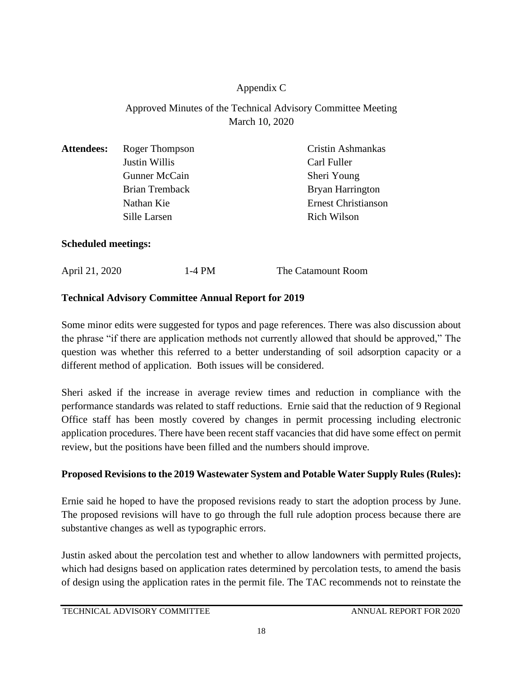### Appendix C

## Approved Minutes of the Technical Advisory Committee Meeting March 10, 2020

| <b>Attendees:</b> | Roger Thompson        | Cristin Ashmankas          |
|-------------------|-----------------------|----------------------------|
|                   | Justin Willis         | Carl Fuller                |
|                   | <b>Gunner McCain</b>  | Sheri Young                |
|                   | <b>Brian Tremback</b> | Bryan Harrington           |
|                   | Nathan Kie            | <b>Ernest Christianson</b> |
|                   | Sille Larsen          | <b>Rich Wilson</b>         |
|                   |                       |                            |

### **Scheduled meetings:**

| April 21, 2020 | $1-4$ PM | The Catamount Room |
|----------------|----------|--------------------|

### **Technical Advisory Committee Annual Report for 2019**

Some minor edits were suggested for typos and page references. There was also discussion about the phrase "if there are application methods not currently allowed that should be approved," The question was whether this referred to a better understanding of soil adsorption capacity or a different method of application. Both issues will be considered.

Sheri asked if the increase in average review times and reduction in compliance with the performance standards was related to staff reductions. Ernie said that the reduction of 9 Regional Office staff has been mostly covered by changes in permit processing including electronic application procedures. There have been recent staff vacancies that did have some effect on permit review, but the positions have been filled and the numbers should improve.

### **Proposed Revisions to the 2019 Wastewater System and Potable Water Supply Rules (Rules):**

Ernie said he hoped to have the proposed revisions ready to start the adoption process by June. The proposed revisions will have to go through the full rule adoption process because there are substantive changes as well as typographic errors.

Justin asked about the percolation test and whether to allow landowners with permitted projects, which had designs based on application rates determined by percolation tests, to amend the basis of design using the application rates in the permit file. The TAC recommends not to reinstate the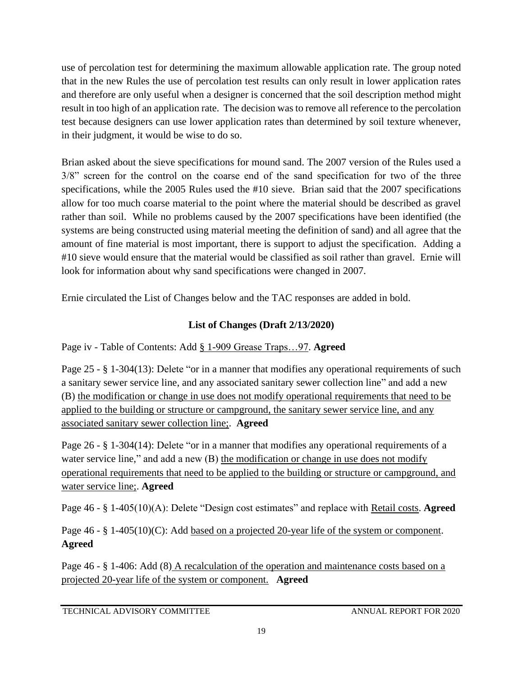use of percolation test for determining the maximum allowable application rate. The group noted that in the new Rules the use of percolation test results can only result in lower application rates and therefore are only useful when a designer is concerned that the soil description method might result in too high of an application rate. The decision was to remove all reference to the percolation test because designers can use lower application rates than determined by soil texture whenever, in their judgment, it would be wise to do so.

Brian asked about the sieve specifications for mound sand. The 2007 version of the Rules used a 3/8" screen for the control on the coarse end of the sand specification for two of the three specifications, while the 2005 Rules used the #10 sieve. Brian said that the 2007 specifications allow for too much coarse material to the point where the material should be described as gravel rather than soil. While no problems caused by the 2007 specifications have been identified (the systems are being constructed using material meeting the definition of sand) and all agree that the amount of fine material is most important, there is support to adjust the specification. Adding a #10 sieve would ensure that the material would be classified as soil rather than gravel. Ernie will look for information about why sand specifications were changed in 2007.

Ernie circulated the List of Changes below and the TAC responses are added in bold.

### **List of Changes (Draft 2/13/2020)**

Page iv - Table of Contents: Add § 1-909 Grease Traps…97. **Agreed**

Page 25 - § 1-304(13): Delete "or in a manner that modifies any operational requirements of such a sanitary sewer service line, and any associated sanitary sewer collection line" and add a new (B) the modification or change in use does not modify operational requirements that need to be applied to the building or structure or campground, the sanitary sewer service line, and any associated sanitary sewer collection line;. **Agreed**

Page 26 - § 1-304(14): Delete "or in a manner that modifies any operational requirements of a water service line," and add a new (B) the modification or change in use does not modify operational requirements that need to be applied to the building or structure or campground, and water service line;. **Agreed**

Page 46 - § 1-405(10)(A): Delete "Design cost estimates" and replace with Retail costs. **Agreed**

Page 46 - § 1-405(10)(C): Add <u>based on a projected 20-year life of the system or component</u>. **Agreed**

Page 46 - § 1-406: Add (8) A recalculation of the operation and maintenance costs based on a projected 20-year life of the system or component. **Agreed**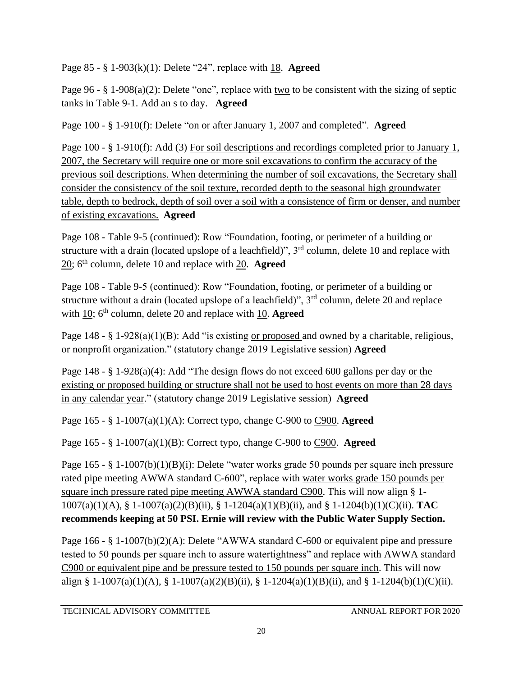Page 85 - § 1-903(k)(1): Delete "24", replace with 18. **Agreed**

Page 96 - § 1-908(a)(2): Delete "one", replace with two to be consistent with the sizing of septic tanks in Table 9-1. Add an s to day. **Agreed**

Page 100 - § 1-910(f): Delete "on or after January 1, 2007 and completed". **Agreed**

Page 100 - § 1-910(f): Add (3) For soil descriptions and recordings completed prior to January 1, 2007, the Secretary will require one or more soil excavations to confirm the accuracy of the previous soil descriptions. When determining the number of soil excavations, the Secretary shall consider the consistency of the soil texture, recorded depth to the seasonal high groundwater table, depth to bedrock, depth of soil over a soil with a consistence of firm or denser, and number of existing excavations. **Agreed**

Page 108 - Table 9-5 (continued): Row "Foundation, footing, or perimeter of a building or structure with a drain (located upslope of a leachfield)",  $3<sup>rd</sup>$  column, delete 10 and replace with 20; 6th column, delete 10 and replace with 20. **Agreed**

Page 108 - Table 9-5 (continued): Row "Foundation, footing, or perimeter of a building or structure without a drain (located upslope of a leachfield)",  $3<sup>rd</sup>$  column, delete 20 and replace with 10;  $6<sup>th</sup>$  column, delete 20 and replace with 10. **Agreed** 

Page 148 - § 1-928(a)(1)(B): Add "is existing <u>or proposed</u> and owned by a charitable, religious, or nonprofit organization." (statutory change 2019 Legislative session) **Agreed**

Page 148 - § 1-928(a)(4): Add "The design flows do not exceed 600 gallons per day or the existing or proposed building or structure shall not be used to host events on more than 28 days in any calendar year." (statutory change 2019 Legislative session) **Agreed**

Page 165 - § 1-1007(a)(1)(A): Correct typo, change C-900 to C900. **Agreed**

Page 165 - § 1-1007(a)(1)(B): Correct typo, change C-900 to C900. **Agreed**

Page 165 - § 1-1007(b)(1)(B)(i): Delete "water works grade 50 pounds per square inch pressure rated pipe meeting AWWA standard C-600", replace with water works grade 150 pounds per square inch pressure rated pipe meeting AWWA standard C900. This will now align § 1- 1007(a)(1)(A), § 1-1007(a)(2)(B)(ii), § 1-1204(a)(1)(B)(ii), and § 1-1204(b)(1)(C)(ii). **TAC recommends keeping at 50 PSI. Ernie will review with the Public Water Supply Section.**

Page 166 - § 1-1007(b)(2)(A): Delete "AWWA standard C-600 or equivalent pipe and pressure tested to 50 pounds per square inch to assure watertightness" and replace with AWWA standard C900 or equivalent pipe and be pressure tested to 150 pounds per square inch. This will now align § 1-1007(a)(1)(A), § 1-1007(a)(2)(B)(ii), § 1-1204(a)(1)(B)(ii), and § 1-1204(b)(1)(C)(ii).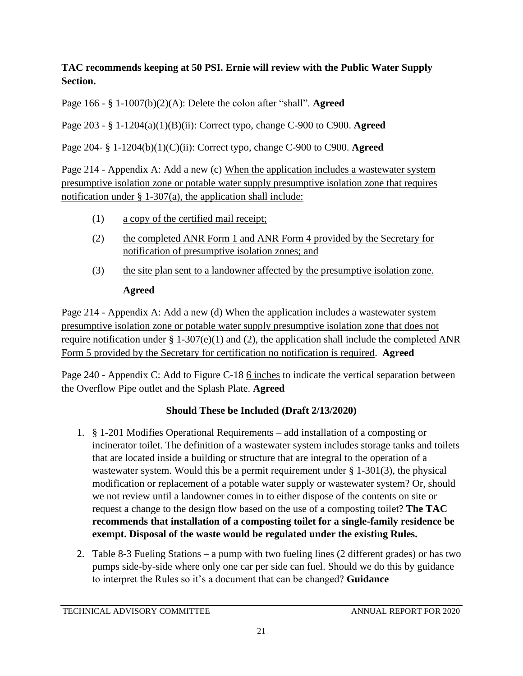## **TAC recommends keeping at 50 PSI. Ernie will review with the Public Water Supply Section.**

Page 166 - § 1-1007(b)(2)(A): Delete the colon after "shall". **Agreed**

Page 203 - § 1-1204(a)(1)(B)(ii): Correct typo, change C-900 to C900. **Agreed**

Page 204- § 1-1204(b)(1)(C)(ii): Correct typo, change C-900 to C900. **Agreed**

Page 214 - Appendix A: Add a new (c) When the application includes a wastewater system presumptive isolation zone or potable water supply presumptive isolation zone that requires notification under  $\S$  1-307(a), the application shall include:

- (1) a copy of the certified mail receipt;
- (2) the completed ANR Form 1 and ANR Form 4 provided by the Secretary for notification of presumptive isolation zones; and
- (3) the site plan sent to a landowner affected by the presumptive isolation zone. **Agreed**

## Page 214 - Appendix A: Add a new (d) When the application includes a wastewater system presumptive isolation zone or potable water supply presumptive isolation zone that does not require notification under  $\S 1-307(e)(1)$  and (2), the application shall include the completed ANR Form 5 provided by the Secretary for certification no notification is required. **Agreed**

Page 240 - Appendix C: Add to Figure C-18 6 inches to indicate the vertical separation between the Overflow Pipe outlet and the Splash Plate. **Agreed**

## **Should These be Included (Draft 2/13/2020)**

- 1. § 1-201 Modifies Operational Requirements add installation of a composting or incinerator toilet. The definition of a wastewater system includes storage tanks and toilets that are located inside a building or structure that are integral to the operation of a wastewater system. Would this be a permit requirement under § 1-301(3), the physical modification or replacement of a potable water supply or wastewater system? Or, should we not review until a landowner comes in to either dispose of the contents on site or request a change to the design flow based on the use of a composting toilet? **The TAC recommends that installation of a composting toilet for a single-family residence be exempt. Disposal of the waste would be regulated under the existing Rules.**
- 2. Table 8-3 Fueling Stations a pump with two fueling lines (2 different grades) or has two pumps side-by-side where only one car per side can fuel. Should we do this by guidance to interpret the Rules so it's a document that can be changed? **Guidance**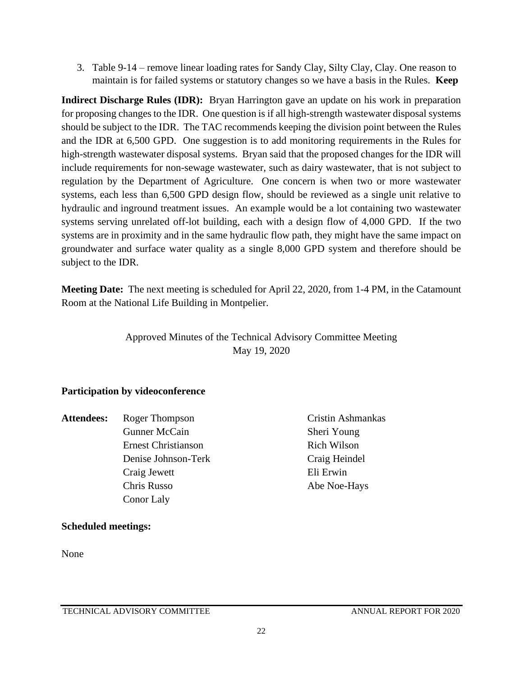3. Table 9-14 – remove linear loading rates for Sandy Clay, Silty Clay, Clay. One reason to maintain is for failed systems or statutory changes so we have a basis in the Rules. **Keep**

**Indirect Discharge Rules (IDR):** Bryan Harrington gave an update on his work in preparation for proposing changes to the IDR. One question is if all high-strength wastewater disposal systems should be subject to the IDR. The TAC recommends keeping the division point between the Rules and the IDR at 6,500 GPD. One suggestion is to add monitoring requirements in the Rules for high-strength wastewater disposal systems. Bryan said that the proposed changes for the IDR will include requirements for non-sewage wastewater, such as dairy wastewater, that is not subject to regulation by the Department of Agriculture. One concern is when two or more wastewater systems, each less than 6,500 GPD design flow, should be reviewed as a single unit relative to hydraulic and inground treatment issues. An example would be a lot containing two wastewater systems serving unrelated off-lot building, each with a design flow of 4,000 GPD. If the two systems are in proximity and in the same hydraulic flow path, they might have the same impact on groundwater and surface water quality as a single 8,000 GPD system and therefore should be subject to the IDR.

**Meeting Date:** The next meeting is scheduled for April 22, 2020, from 1-4 PM, in the Catamount Room at the National Life Building in Montpelier.

## Approved Minutes of the Technical Advisory Committee Meeting May 19, 2020

### **Participation by videoconference**

- Attendees: Roger Thompson Cristin Ashmankas Gunner McCain Sheri Young Ernest Christianson Rich Wilson Denise Johnson-Terk Craig Heindel Craig Jewett Eli Erwin Chris Russo Abe Noe-Hays Conor Laly
	-

### **Scheduled meetings:**

None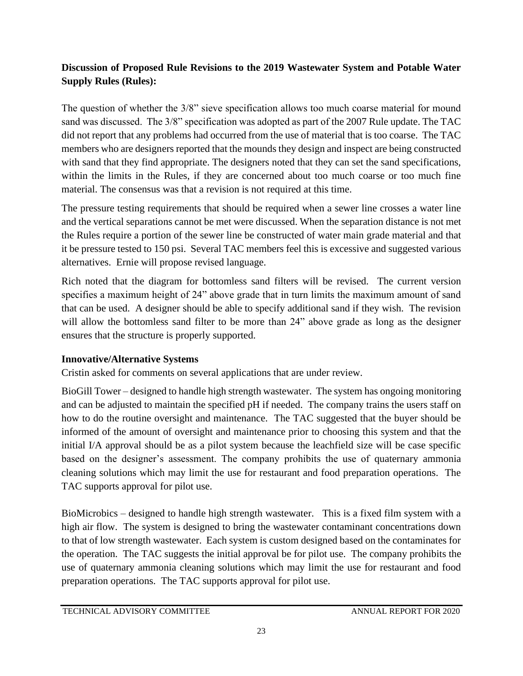## **Discussion of Proposed Rule Revisions to the 2019 Wastewater System and Potable Water Supply Rules (Rules):**

The question of whether the 3/8" sieve specification allows too much coarse material for mound sand was discussed. The 3/8" specification was adopted as part of the 2007 Rule update. The TAC did not report that any problems had occurred from the use of material that is too coarse. The TAC members who are designers reported that the mounds they design and inspect are being constructed with sand that they find appropriate. The designers noted that they can set the sand specifications, within the limits in the Rules, if they are concerned about too much coarse or too much fine material. The consensus was that a revision is not required at this time.

The pressure testing requirements that should be required when a sewer line crosses a water line and the vertical separations cannot be met were discussed. When the separation distance is not met the Rules require a portion of the sewer line be constructed of water main grade material and that it be pressure tested to 150 psi. Several TAC members feel this is excessive and suggested various alternatives. Ernie will propose revised language.

Rich noted that the diagram for bottomless sand filters will be revised. The current version specifies a maximum height of 24" above grade that in turn limits the maximum amount of sand that can be used. A designer should be able to specify additional sand if they wish. The revision will allow the bottomless sand filter to be more than 24" above grade as long as the designer ensures that the structure is properly supported.

## **Innovative/Alternative Systems**

Cristin asked for comments on several applications that are under review.

BioGill Tower – designed to handle high strength wastewater. The system has ongoing monitoring and can be adjusted to maintain the specified pH if needed. The company trains the users staff on how to do the routine oversight and maintenance. The TAC suggested that the buyer should be informed of the amount of oversight and maintenance prior to choosing this system and that the initial I/A approval should be as a pilot system because the leachfield size will be case specific based on the designer's assessment. The company prohibits the use of quaternary ammonia cleaning solutions which may limit the use for restaurant and food preparation operations. The TAC supports approval for pilot use.

BioMicrobics – designed to handle high strength wastewater. This is a fixed film system with a high air flow. The system is designed to bring the wastewater contaminant concentrations down to that of low strength wastewater. Each system is custom designed based on the contaminates for the operation. The TAC suggests the initial approval be for pilot use. The company prohibits the use of quaternary ammonia cleaning solutions which may limit the use for restaurant and food preparation operations. The TAC supports approval for pilot use.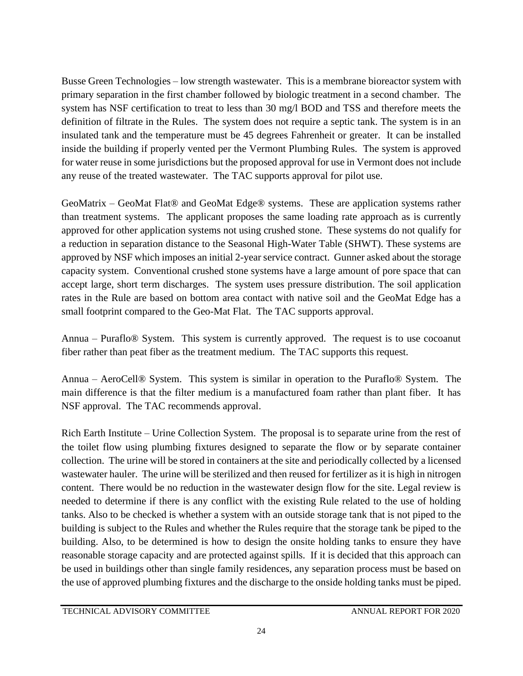Busse Green Technologies – low strength wastewater. This is a membrane bioreactor system with primary separation in the first chamber followed by biologic treatment in a second chamber. The system has NSF certification to treat to less than 30 mg/l BOD and TSS and therefore meets the definition of filtrate in the Rules. The system does not require a septic tank. The system is in an insulated tank and the temperature must be 45 degrees Fahrenheit or greater. It can be installed inside the building if properly vented per the Vermont Plumbing Rules. The system is approved for water reuse in some jurisdictions but the proposed approval for use in Vermont does not include any reuse of the treated wastewater. The TAC supports approval for pilot use.

GeoMatrix – GeoMat Flat® and GeoMat Edge® systems. These are application systems rather than treatment systems. The applicant proposes the same loading rate approach as is currently approved for other application systems not using crushed stone. These systems do not qualify for a reduction in separation distance to the Seasonal High-Water Table (SHWT). These systems are approved by NSF which imposes an initial 2-year service contract. Gunner asked about the storage capacity system. Conventional crushed stone systems have a large amount of pore space that can accept large, short term discharges. The system uses pressure distribution. The soil application rates in the Rule are based on bottom area contact with native soil and the GeoMat Edge has a small footprint compared to the Geo-Mat Flat. The TAC supports approval.

Annua – Puraflo® System. This system is currently approved. The request is to use cocoanut fiber rather than peat fiber as the treatment medium. The TAC supports this request.

Annua – AeroCell® System. This system is similar in operation to the Puraflo® System. The main difference is that the filter medium is a manufactured foam rather than plant fiber. It has NSF approval. The TAC recommends approval.

Rich Earth Institute – Urine Collection System. The proposal is to separate urine from the rest of the toilet flow using plumbing fixtures designed to separate the flow or by separate container collection. The urine will be stored in containers at the site and periodically collected by a licensed wastewater hauler. The urine will be sterilized and then reused for fertilizer as it is high in nitrogen content. There would be no reduction in the wastewater design flow for the site. Legal review is needed to determine if there is any conflict with the existing Rule related to the use of holding tanks. Also to be checked is whether a system with an outside storage tank that is not piped to the building is subject to the Rules and whether the Rules require that the storage tank be piped to the building. Also, to be determined is how to design the onsite holding tanks to ensure they have reasonable storage capacity and are protected against spills. If it is decided that this approach can be used in buildings other than single family residences, any separation process must be based on the use of approved plumbing fixtures and the discharge to the onside holding tanks must be piped.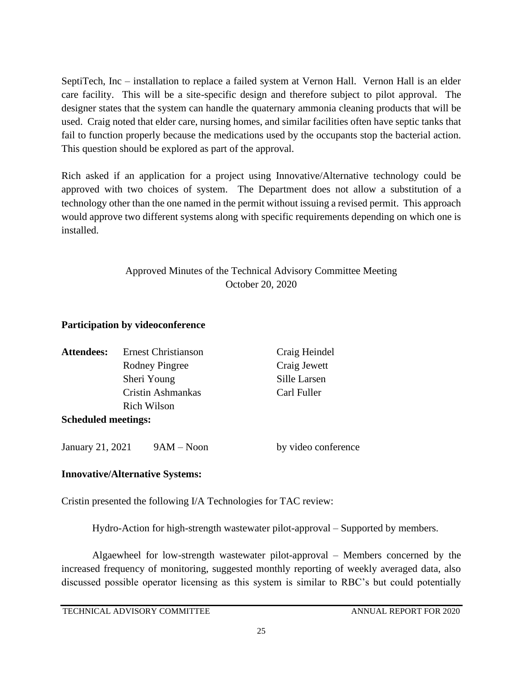SeptiTech, Inc – installation to replace a failed system at Vernon Hall. Vernon Hall is an elder care facility. This will be a site-specific design and therefore subject to pilot approval. The designer states that the system can handle the quaternary ammonia cleaning products that will be used. Craig noted that elder care, nursing homes, and similar facilities often have septic tanks that fail to function properly because the medications used by the occupants stop the bacterial action. This question should be explored as part of the approval.

Rich asked if an application for a project using Innovative/Alternative technology could be approved with two choices of system. The Department does not allow a substitution of a technology other than the one named in the permit without issuing a revised permit. This approach would approve two different systems along with specific requirements depending on which one is installed.

## Approved Minutes of the Technical Advisory Committee Meeting October 20, 2020

#### **Participation by videoconference**

| <b>Attendees:</b>          | <b>Ernest Christianson</b> | Craig Heindel |
|----------------------------|----------------------------|---------------|
|                            | Rodney Pingree             | Craig Jewett  |
|                            | Sheri Young                | Sille Larsen  |
|                            | Cristin Ashmankas          | Carl Fuller   |
|                            | <b>Rich Wilson</b>         |               |
| <b>Scheduled meetings:</b> |                            |               |
|                            |                            |               |

January 21, 2021 9AM – Noon by video conference

### **Innovative/Alternative Systems:**

Cristin presented the following I/A Technologies for TAC review:

Hydro-Action for high-strength wastewater pilot-approval – Supported by members.

Algaewheel for low-strength wastewater pilot-approval – Members concerned by the increased frequency of monitoring, suggested monthly reporting of weekly averaged data, also discussed possible operator licensing as this system is similar to RBC's but could potentially